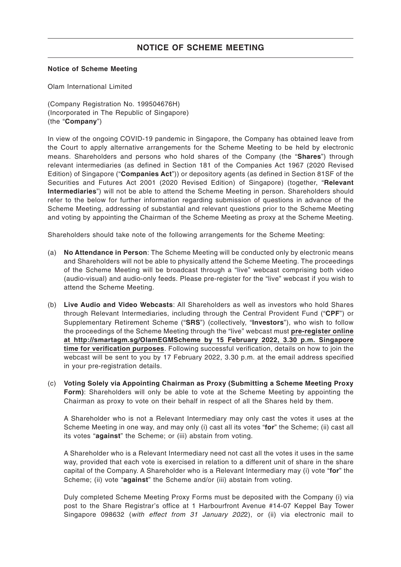#### **Notice of Scheme Meeting**

Olam International Limited

(Company Registration No. 199504676H) (Incorporated in The Republic of Singapore) (the "**Company**")

In view of the ongoing COVID-19 pandemic in Singapore, the Company has obtained leave from the Court to apply alternative arrangements for the Scheme Meeting to be held by electronic means. Shareholders and persons who hold shares of the Company (the "**Shares**") through relevant intermediaries (as defined in Section 181 of the Companies Act 1967 (2020 Revised Edition) of Singapore ("**Companies Act**")) or depository agents (as defined in Section 81SF of the Securities and Futures Act 2001 (2020 Revised Edition) of Singapore) (together, "**Relevant Intermediaries**") will not be able to attend the Scheme Meeting in person. Shareholders should refer to the below for further information regarding submission of questions in advance of the Scheme Meeting, addressing of substantial and relevant questions prior to the Scheme Meeting and voting by appointing the Chairman of the Scheme Meeting as proxy at the Scheme Meeting.

Shareholders should take note of the following arrangements for the Scheme Meeting:

- (a) **No Attendance in Person**: The Scheme Meeting will be conducted only by electronic means and Shareholders will not be able to physically attend the Scheme Meeting. The proceedings of the Scheme Meeting will be broadcast through a "live" webcast comprising both video (audio-visual) and audio-only feeds. Please pre-register for the "live" webcast if you wish to attend the Scheme Meeting.
- (b) **Live Audio and Video Webcasts**: All Shareholders as well as investors who hold Shares through Relevant Intermediaries, including through the Central Provident Fund ("**CPF**") or Supplementary Retirement Scheme ("**SRS**") (collectively, "**Investors**"), who wish to follow the proceedings of the Scheme Meeting through the "live" webcast must **pre-register online at http://smartagm.sg/OlamEGMScheme by 15 February 2022, 3.30 p.m. Singapore time for verification purposes**. Following successful verification, details on how to join the webcast will be sent to you by 17 February 2022, 3.30 p.m. at the email address specified in your pre-registration details.
- (c) **Voting Solely via Appointing Chairman as Proxy (Submitting a Scheme Meeting Proxy Form)**: Shareholders will only be able to vote at the Scheme Meeting by appointing the Chairman as proxy to vote on their behalf in respect of all the Shares held by them.

A Shareholder who is not a Relevant Intermediary may only cast the votes it uses at the Scheme Meeting in one way, and may only (i) cast all its votes "**for**" the Scheme; (ii) cast all its votes "**against**" the Scheme; or (iii) abstain from voting.

A Shareholder who is a Relevant Intermediary need not cast all the votes it uses in the same way, provided that each vote is exercised in relation to a different unit of share in the share capital of the Company. A Shareholder who is a Relevant Intermediary may (i) vote "**for**" the Scheme; (ii) vote "**against**" the Scheme and/or (iii) abstain from voting.

Duly completed Scheme Meeting Proxy Forms must be deposited with the Company (i) via post to the Share Registrar's office at 1 Harbourfront Avenue #14-07 Keppel Bay Tower Singapore 098632 (with effect from 31 January 2022), or (ii) via electronic mail to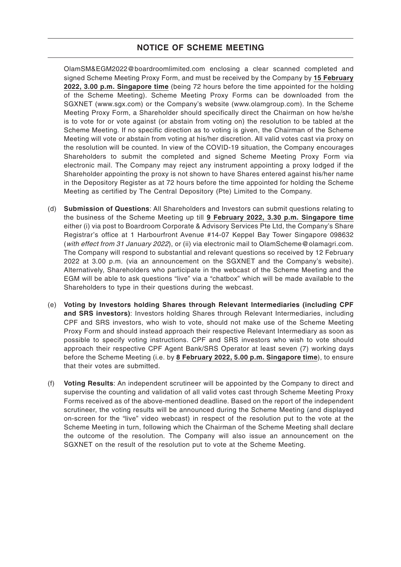OlamSM&EGM2022@boardroomlimited.com enclosing a clear scanned completed and signed Scheme Meeting Proxy Form, and must be received by the Company by **15 February 2022, 3.00 p.m. Singapore time** (being 72 hours before the time appointed for the holding of the Scheme Meeting). Scheme Meeting Proxy Forms can be downloaded from the SGXNET (www.sgx.com) or the Company's website (www.olamgroup.com). In the Scheme Meeting Proxy Form, a Shareholder should specifically direct the Chairman on how he/she is to vote for or vote against (or abstain from voting on) the resolution to be tabled at the Scheme Meeting. If no specific direction as to voting is given, the Chairman of the Scheme Meeting will vote or abstain from voting at his/her discretion. All valid votes cast via proxy on the resolution will be counted. In view of the COVID-19 situation, the Company encourages Shareholders to submit the completed and signed Scheme Meeting Proxy Form via electronic mail. The Company may reject any instrument appointing a proxy lodged if the Shareholder appointing the proxy is not shown to have Shares entered against his/her name in the Depository Register as at 72 hours before the time appointed for holding the Scheme Meeting as certified by The Central Depository (Pte) Limited to the Company.

- (d) **Submission of Questions**: All Shareholders and Investors can submit questions relating to the business of the Scheme Meeting up till **9 February 2022, 3.30 p.m. Singapore time** either (i) via post to Boardroom Corporate & Advisory Services Pte Ltd, the Company's Share Registrar's office at 1 Harbourfront Avenue #14-07 Keppel Bay Tower Singapore 098632 (with effect from 31 January 2022), or (ii) via electronic mail to OlamScheme@olamagri.com. The Company will respond to substantial and relevant questions so received by 12 February 2022 at 3.00 p.m. (via an announcement on the SGXNET and the Company's website). Alternatively, Shareholders who participate in the webcast of the Scheme Meeting and the EGM will be able to ask questions "live" via a "chatbox" which will be made available to the Shareholders to type in their questions during the webcast.
- (e) **Voting by Investors holding Shares through Relevant Intermediaries (including CPF and SRS investors)**: Investors holding Shares through Relevant Intermediaries, including CPF and SRS investors, who wish to vote, should not make use of the Scheme Meeting Proxy Form and should instead approach their respective Relevant Intermediary as soon as possible to specify voting instructions. CPF and SRS investors who wish to vote should approach their respective CPF Agent Bank/SRS Operator at least seven (7) working days before the Scheme Meeting (i.e. by **8 February 2022, 5.00 p.m. Singapore time**), to ensure that their votes are submitted.
- (f) **Voting Results**: An independent scrutineer will be appointed by the Company to direct and supervise the counting and validation of all valid votes cast through Scheme Meeting Proxy Forms received as of the above-mentioned deadline. Based on the report of the independent scrutineer, the voting results will be announced during the Scheme Meeting (and displayed on-screen for the "live" video webcast) in respect of the resolution put to the vote at the Scheme Meeting in turn, following which the Chairman of the Scheme Meeting shall declare the outcome of the resolution. The Company will also issue an announcement on the SGXNET on the result of the resolution put to vote at the Scheme Meeting.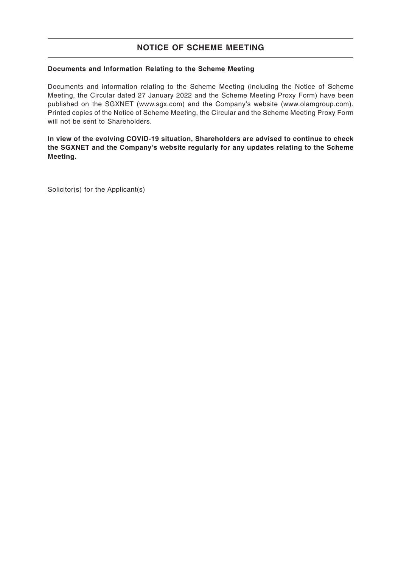## **Documents and Information Relating to the Scheme Meeting**

Documents and information relating to the Scheme Meeting (including the Notice of Scheme Meeting, the Circular dated 27 January 2022 and the Scheme Meeting Proxy Form) have been published on the SGXNET (www.sgx.com) and the Company's website (www.olamgroup.com). Printed copies of the Notice of Scheme Meeting, the Circular and the Scheme Meeting Proxy Form will not be sent to Shareholders.

**In view of the evolving COVID-19 situation, Shareholders are advised to continue to check the SGXNET and the Company's website regularly for any updates relating to the Scheme Meeting.**

Solicitor(s) for the Applicant(s)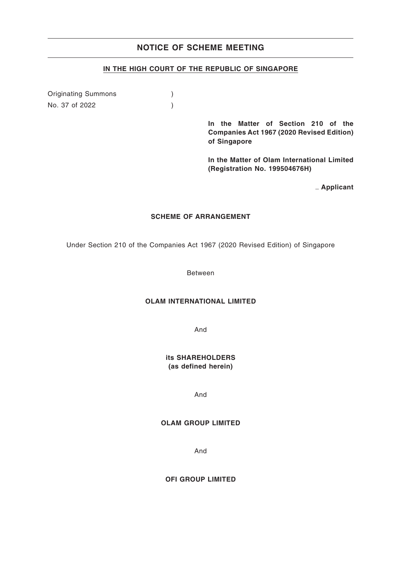## **IN THE HIGH COURT OF THE REPUBLIC OF SINGAPORE**

Originating Summons (b) No. 37 of 2022 )

> **In the Matter of Section 210 of the Companies Act 1967 (2020 Revised Edition) of Singapore**

> **In the Matter of Olam International Limited (Registration No. 199504676H)**

> > { **Applicant**

#### **SCHEME OF ARRANGEMENT**

Under Section 210 of the Companies Act 1967 (2020 Revised Edition) of Singapore

Between

## **OLAM INTERNATIONAL LIMITED**

And

**its SHAREHOLDERS (as defined herein)**

And

#### **OLAM GROUP LIMITED**

And

**OFI GROUP LIMITED**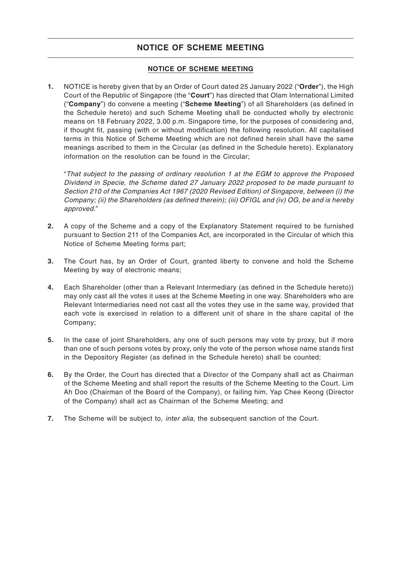## **NOTICE OF SCHEME MEETING**

**1.** NOTICE is hereby given that by an Order of Court dated 25 January 2022 ("**Order**"), the High Court of the Republic of Singapore (the "**Court**") has directed that Olam International Limited ("**Company**") do convene a meeting ("**Scheme Meeting**") of all Shareholders (as defined in the Schedule hereto) and such Scheme Meeting shall be conducted wholly by electronic means on 18 February 2022, 3.00 p.m. Singapore time, for the purposes of considering and, if thought fit, passing (with or without modification) the following resolution. All capitalised terms in this Notice of Scheme Meeting which are not defined herein shall have the same meanings ascribed to them in the Circular (as defined in the Schedule hereto). Explanatory information on the resolution can be found in the Circular;

"That subject to the passing of ordinary resolution 1 at the EGM to approve the Proposed Dividend in Specie, the Scheme dated 27 January 2022 proposed to be made pursuant to Section 210 of the Companies Act 1967 (2020 Revised Edition) of Singapore, between (i) the Company; (ii) the Shareholders (as defined therein); (iii) OFIGL and (iv) OG, be and is hereby approved."

- **2.** A copy of the Scheme and a copy of the Explanatory Statement required to be furnished pursuant to Section 211 of the Companies Act, are incorporated in the Circular of which this Notice of Scheme Meeting forms part;
- **3.** The Court has, by an Order of Court, granted liberty to convene and hold the Scheme Meeting by way of electronic means;
- **4.** Each Shareholder (other than a Relevant Intermediary (as defined in the Schedule hereto)) may only cast all the votes it uses at the Scheme Meeting in one way. Shareholders who are Relevant Intermediaries need not cast all the votes they use in the same way, provided that each vote is exercised in relation to a different unit of share in the share capital of the Company;
- **5.** In the case of joint Shareholders, any one of such persons may vote by proxy, but if more than one of such persons votes by proxy, only the vote of the person whose name stands first in the Depository Register (as defined in the Schedule hereto) shall be counted;
- **6.** By the Order, the Court has directed that a Director of the Company shall act as Chairman of the Scheme Meeting and shall report the results of the Scheme Meeting to the Court. Lim Ah Doo (Chairman of the Board of the Company), or failing him, Yap Chee Keong (Director of the Company) shall act as Chairman of the Scheme Meeting; and
- **7.** The Scheme will be subject to, inter alia, the subsequent sanction of the Court.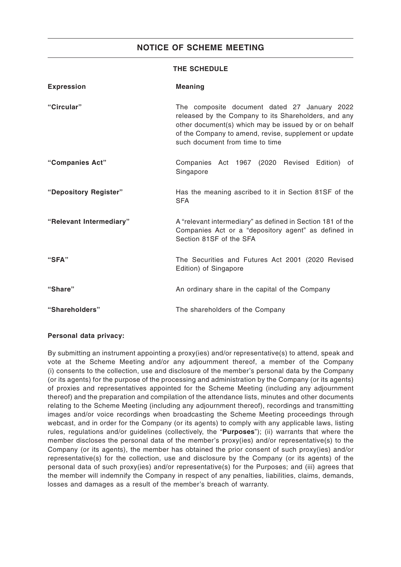## **THE SCHEDULE**

| <b>Expression</b>       | <b>Meaning</b>                                                                                                                                                                                                                                            |
|-------------------------|-----------------------------------------------------------------------------------------------------------------------------------------------------------------------------------------------------------------------------------------------------------|
| "Circular"              | The composite document dated 27 January 2022<br>released by the Company to its Shareholders, and any<br>other document(s) which may be issued by or on behalf<br>of the Company to amend, revise, supplement or update<br>such document from time to time |
| "Companies Act"         | Companies Act 1967 (2020 Revised Edition)<br>of<br>Singapore                                                                                                                                                                                              |
| "Depository Register"   | Has the meaning ascribed to it in Section 81SF of the<br><b>SFA</b>                                                                                                                                                                                       |
| "Relevant Intermediary" | A "relevant intermediary" as defined in Section 181 of the<br>Companies Act or a "depository agent" as defined in<br>Section 81SF of the SFA                                                                                                              |
| "SFA"                   | The Securities and Futures Act 2001 (2020 Revised<br>Edition) of Singapore                                                                                                                                                                                |
| "Share"                 | An ordinary share in the capital of the Company                                                                                                                                                                                                           |
| "Shareholders"          | The shareholders of the Company                                                                                                                                                                                                                           |

### **Personal data privacy:**

By submitting an instrument appointing a proxy(ies) and/or representative(s) to attend, speak and vote at the Scheme Meeting and/or any adjournment thereof, a member of the Company (i) consents to the collection, use and disclosure of the member's personal data by the Company (or its agents) for the purpose of the processing and administration by the Company (or its agents) of proxies and representatives appointed for the Scheme Meeting (including any adjournment thereof) and the preparation and compilation of the attendance lists, minutes and other documents relating to the Scheme Meeting (including any adjournment thereof), recordings and transmitting images and/or voice recordings when broadcasting the Scheme Meeting proceedings through webcast, and in order for the Company (or its agents) to comply with any applicable laws, listing rules, regulations and/or guidelines (collectively, the "**Purposes**"); (ii) warrants that where the member discloses the personal data of the member's proxy(ies) and/or representative(s) to the Company (or its agents), the member has obtained the prior consent of such proxy(ies) and/or representative(s) for the collection, use and disclosure by the Company (or its agents) of the personal data of such proxy(ies) and/or representative(s) for the Purposes; and (iii) agrees that the member will indemnify the Company in respect of any penalties, liabilities, claims, demands, losses and damages as a result of the member's breach of warranty.